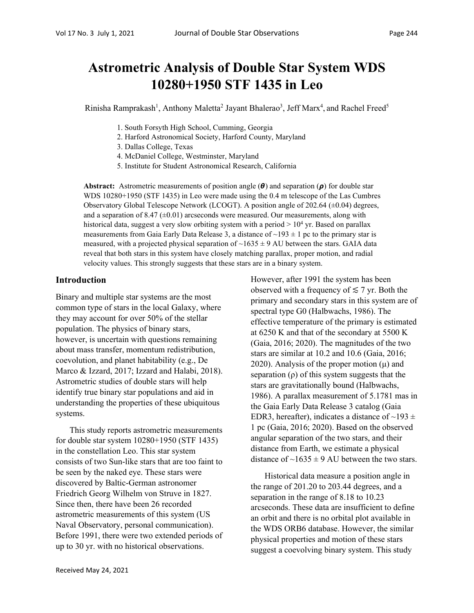Rinisha Ramprakash<sup>1</sup>, Anthony Maletta<sup>2</sup> Jayant Bhalerao<sup>3</sup>, Jeff Marx<sup>4</sup>, and Rachel Freed<sup>5</sup>

- 1. South Forsyth High School, Cumming, Georgia
- 2. Harford Astronomical Society, Harford County, Maryland
- 3. Dallas College, Texas
- 4. McDaniel College, Westminster, Maryland
- 5. Institute for Student Astronomical Research, California

**Abstract:** Astrometric measurements of position angle  $(\theta)$  and separation  $(\rho)$  for double star WDS 10280+1950 (STF 1435) in Leo were made using the 0.4 m telescope of the Las Cumbres Observatory Global Telescope Network (LCOGT). A position angle of 202.64 (±0.04) degrees, and a separation of 8.47  $(\pm 0.01)$  arcseconds were measured. Our measurements, along with historical data, suggest a very slow orbiting system with a period  $> 10<sup>4</sup>$  yr. Based on parallax measurements from Gaia Early Data Release 3, a distance of  $\sim$ 193  $\pm$  1 pc to the primary star is measured, with a projected physical separation of  $\sim$ 1635  $\pm$  9 AU between the stars. GAIA data reveal that both stars in this system have closely matching parallax, proper motion, and radial velocity values. This strongly suggests that these stars are in a binary system.

#### **Introduction**

Binary and multiple star systems are the most common type of stars in the local Galaxy, where they may account for over 50% of the stellar population. The physics of binary stars, however, is uncertain with questions remaining about mass transfer, momentum redistribution, coevolution, and planet habitability (e.g., De Marco & Izzard, 2017; Izzard and Halabi, 2018). Astrometric studies of double stars will help identify true binary star populations and aid in understanding the properties of these ubiquitous systems.

This study reports astrometric measurements for double star system 10280+1950 (STF 1435) in the constellation Leo. This star system consists of two Sun-like stars that are too faint to be seen by the naked eye. These stars were discovered by Baltic-German astronomer Friedrich Georg Wilhelm von Struve in 1827. Since then, there have been 26 recorded astrometric measurements of this system (US Naval Observatory, personal communication). Before 1991, there were two extended periods of up to 30 yr. with no historical observations.

However, after 1991 the system has been observed with a frequency of  $\leq 7$  yr. Both the primary and secondary stars in this system are of spectral type G0 (Halbwachs, 1986). The effective temperature of the primary is estimated at 6250 K and that of the secondary at 5500 K (Gaia, 2016; 2020). The magnitudes of the two stars are similar at 10.2 and 10.6 (Gaia, 2016; 2020). Analysis of the proper motion  $(\mu)$  and separation  $(\rho)$  of this system suggests that the stars are gravitationally bound (Halbwachs, 1986). A parallax measurement of 5.1781 mas in the Gaia Early Data Release 3 catalog (Gaia EDR3, hereafter), indicates a distance of  $\sim$ 193  $\pm$ 1 pc (Gaia, 2016; 2020). Based on the observed angular separation of the two stars, and their distance from Earth, we estimate a physical distance of  $\sim$ 1635  $\pm$  9 AU between the two stars.

Historical data measure a position angle in the range of 201.20 to 203.44 degrees, and a separation in the range of 8.18 to 10.23 arcseconds. These data are insufficient to define an orbit and there is no orbital plot available in the WDS ORB6 database. However, the similar physical properties and motion of these stars suggest a coevolving binary system. This study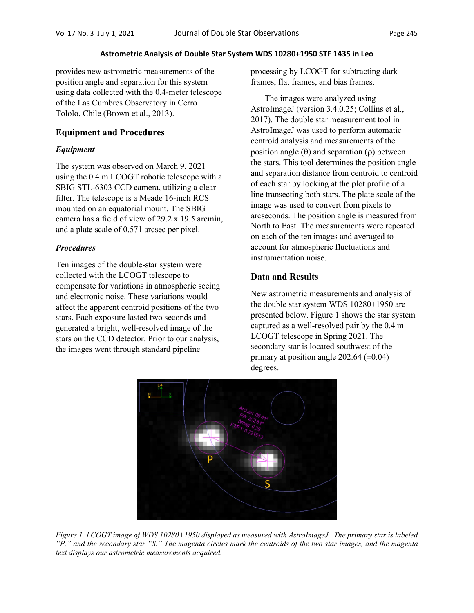provides new astrometric measurements of the position angle and separation for this system using data collected with the 0.4-meter telescope of the Las Cumbres Observatory in Cerro Tololo, Chile (Brown et al., 2013).

# **Equipment and Procedures**

# *Equipment*

The system was observed on March 9, 2021 using the 0.4 m LCOGT robotic telescope with a SBIG STL-6303 CCD camera, utilizing a clear filter. The telescope is a Meade 16-inch RCS mounted on an equatorial mount. The SBIG camera has a field of view of 29.2 x 19.5 arcmin, and a plate scale of 0.571 arcsec per pixel.

# *Procedures*

Ten images of the double-star system were collected with the LCOGT telescope to compensate for variations in atmospheric seeing and electronic noise. These variations would affect the apparent centroid positions of the two stars. Each exposure lasted two seconds and generated a bright, well-resolved image of the stars on the CCD detector. Prior to our analysis, the images went through standard pipeline

processing by LCOGT for subtracting dark frames, flat frames, and bias frames.

The images were analyzed using AstroImageJ (version 3.4.0.25; Collins et al., 2017). The double star measurement tool in AstroImageJ was used to perform automatic centroid analysis and measurements of the position angle  $(\theta)$  and separation  $(\rho)$  between the stars. This tool determines the position angle and separation distance from centroid to centroid of each star by looking at the plot profile of a line transecting both stars. The plate scale of the image was used to convert from pixels to arcseconds. The position angle is measured from North to East. The measurements were repeated on each of the ten images and averaged to account for atmospheric fluctuations and instrumentation noise.

# **Data and Results**

New astrometric measurements and analysis of the double star system WDS 10280+1950 are presented below. Figure 1 shows the star system captured as a well-resolved pair by the 0.4 m LCOGT telescope in Spring 2021. The secondary star is located southwest of the primary at position angle 202.64  $(\pm 0.04)$ degrees.



*Figure 1. LCOGT image of WDS 10280+1950 displayed as measured with AstroImageJ. The primary star is labeled "P," and the secondary star "S." The magenta circles mark the centroids of the two star images, and the magenta text displays our astrometric measurements acquired.*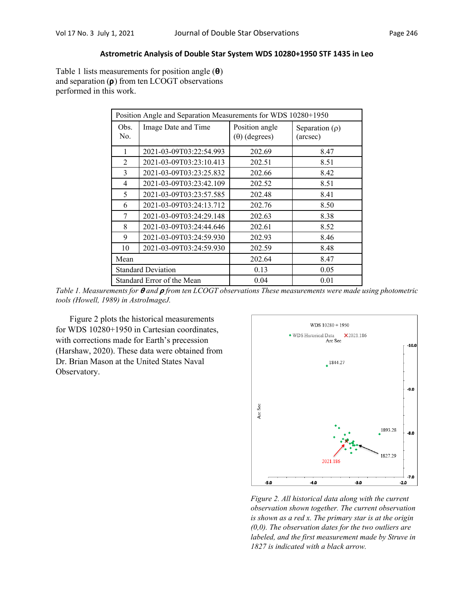Table 1 lists measurements for position angle  $(\theta)$ and separation  $(\rho)$  from ten LCOGT observations performed in this work.

| Position Angle and Separation Measurements for WDS 10280+1950 |                         |                                        |                                 |  |  |  |
|---------------------------------------------------------------|-------------------------|----------------------------------------|---------------------------------|--|--|--|
| Obs.<br>No.                                                   | Image Date and Time     | Position angle<br>$(\theta)$ (degrees) | Separation $(\rho)$<br>(arcsec) |  |  |  |
| 1                                                             | 2021-03-09T03:22:54.993 | 202.69                                 | 8.47                            |  |  |  |
| $\mathfrak{D}$                                                | 2021-03-09T03:23:10.413 | 202.51                                 | 8.51                            |  |  |  |
| 3                                                             | 2021-03-09T03:23:25.832 | 202.66                                 | 8.42                            |  |  |  |
| 4                                                             | 2021-03-09T03:23:42.109 | 202.52                                 | 8.51                            |  |  |  |
| 5                                                             | 2021-03-09T03:23:57.585 | 202.48                                 | 8.41                            |  |  |  |
| 6                                                             | 2021-03-09T03:24:13.712 | 202.76                                 | 8.50                            |  |  |  |
| 7                                                             | 2021-03-09T03:24:29.148 | 202.63                                 | 8.38                            |  |  |  |
| 8                                                             | 2021-03-09T03:24:44.646 | 202.61                                 | 8.52                            |  |  |  |
| 9                                                             | 2021-03-09T03:24:59.930 | 202.93                                 | 8.46                            |  |  |  |
| 10                                                            | 2021-03-09T03:24:59.930 | 202.59                                 | 8.48                            |  |  |  |
| Mean                                                          |                         | 202.64                                 | 8.47                            |  |  |  |
| <b>Standard Deviation</b>                                     |                         | 0.13                                   | 0.05                            |  |  |  |
| Standard Error of the Mean                                    |                         | 0.04                                   | 0.01                            |  |  |  |

*Table 1. Measurements for*  $\theta$  *and*  $\rho$  *from ten LCOGT observations These measurements were made using photometric tools (Howell, 1989) in AstroImageJ.*

Figure 2 plots the historical measurements for WDS 10280+1950 in Cartesian coordinates, with corrections made for Earth's precession (Harshaw, 2020). These data were obtained from Dr. Brian Mason at the United States Naval Observatory.



*Figure 2. All historical data along with the current observation shown together. The current observation is shown as a red x. The primary star is at the origin (0,0). The observation dates for the two outliers are labeled, and the first measurement made by Struve in 1827 is indicated with a black arrow.*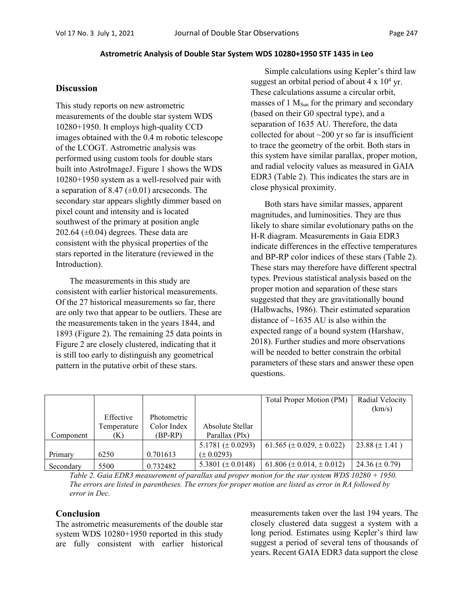#### **Discussion**

This study reports on new astrometric measurements of the double star system WDS 10280+1950. It employs high-quality CCD images obtained with the 0.4 m robotic telescope of the LCOGT. Astrometric analysis was performed using custom tools for double stars built into AstroImageJ. Figure 1 shows the WDS 10280+1950 system as a well-resolved pair with a separation of 8.47  $(\pm 0.01)$  arcseconds. The secondary star appears slightly dimmer based on pixel count and intensity and is located southwest of the primary at position angle 202.64  $(\pm 0.04)$  degrees. These data are consistent with the physical properties of the stars reported in the literature (reviewed in the Introduction).

The measurements in this study are consistent with earlier historical measurements. Of the 27 historical measurements so far, there are only two that appear to be outliers. These are the measurements taken in the years 1844, and 1893 (Figure 2). The remaining 25 data points in Figure 2 are closely clustered, indicating that it is still too early to distinguish any geometrical pattern in the putative orbit of these stars.

Simple calculations using Kepler's third law suggest an orbital period of about  $4 \times 10^4$  yr. These calculations assume a circular orbit, masses of  $1 M<sub>Sun</sub>$  for the primary and secondary (based on their G0 spectral type), and a separation of 1635 AU. Therefore, the data collected for about  $\sim$ 200 yr so far is insufficient to trace the geometry of the orbit. Both stars in this system have similar parallax, proper motion, and radial velocity values as measured in GAIA EDR3 (Table 2). This indicates the stars are in close physical proximity.

Both stars have similar masses, apparent magnitudes, and luminosities. They are thus likely to share similar evolutionary paths on the H-R diagram. Measurements in Gaia EDR3 indicate differences in the effective temperatures and BP-RP color indices of these stars (Table 2). These stars may therefore have different spectral types. Previous statistical analysis based on the proper motion and separation of these stars suggested that they are gravitationally bound (Halbwachs, 1986). Their estimated separation distance of  $\sim$ 1635 AU is also within the expected range of a bound system (Harshaw, 2018). Further studies and more observations will be needed to better constrain the orbital parameters of these stars and answer these open questions.

|           |             |             |                        | Total Proper Motion (PM)           | Radial Velocity      |
|-----------|-------------|-------------|------------------------|------------------------------------|----------------------|
|           |             |             |                        |                                    | (km/s)               |
|           | Effective   | Photometric |                        |                                    |                      |
|           | Temperature | Color Index | Absolute Stellar       |                                    |                      |
| Component | (K)         | (BP-RP)     | Parallax (Plx)         |                                    |                      |
|           |             |             | 5.1781 $(\pm 0.0293)$  | 61.565 ( $\pm$ 0.029, $\pm$ 0.022) | $23.88 \ (\pm 1.41)$ |
| Primary   | 6250        | 0.701613    | $(\pm 0.0293)$         |                                    |                      |
| Secondary | 5500        | 0.732482    | 5.3801 ( $\pm$ 0.0148) | 61.806 ( $\pm$ 0.014, $\pm$ 0.012) | 24.36 $(\pm 0.79)$   |

*Table 2. Gaia EDR3 measurement of parallax and proper motion for the star system WDS 10280 + 1950. The errors are listed in parentheses. The errors for proper motion are listed as error in RA followed by error in Dec.*

### **Conclusion**

The astrometric measurements of the double star system WDS 10280+1950 reported in this study are fully consistent with earlier historical

measurements taken over the last 194 years. The closely clustered data suggest a system with a long period. Estimates using Kepler's third law suggest a period of several tens of thousands of years. Recent GAIA EDR3 data support the close